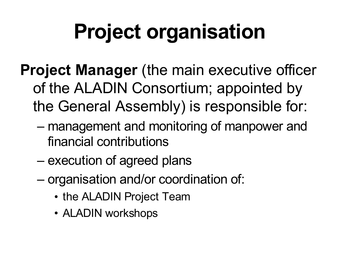# **Project organisation**

- **Project Manager** (the main executive officer of the ALADIN Consortium; appointed by the General Assembly) is responsible for:
	- management and monitoring of manpower and financial contributions
	- execution of agreed plans
	- organisation and/or coordination of:
		- the ALADIN Project Team
		- ALADIN workshops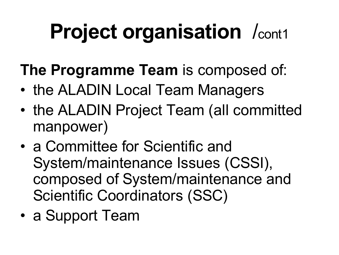## **Project organisation** /cont1

- **The Programme Team** is composed of:
- the ALADIN Local Team Managers
- the ALADIN Project Team (all committed manpower)
- a Committee for Scientific and System/maintenance Issues (CSSI), composed of System/maintenance and Scientific Coordinators (SSC)
- a Support Team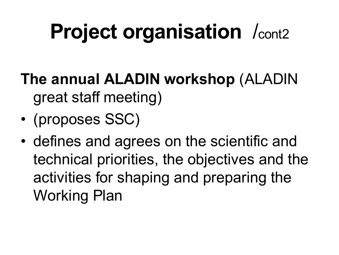## **Project organisation** /cont2

- **The annual ALADIN workshop** (ALADIN great staff meeting)
- (proposes SSC)
- defines and agrees on the scientific and technical priorities, the objectives and the activities for shaping and preparing the Working Plan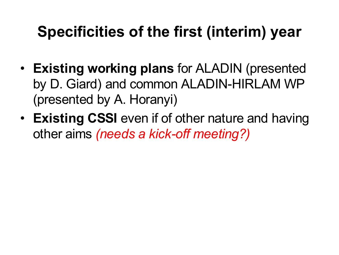#### **Specificities of the first (interim) year**

- **Existing working plans** for ALADIN (presented by D. Giard) and common ALADIN-HIRLAM WP (presented by A. Horanyi)
- **Existing CSSI** even if of other nature and having other aims *(needs a kick-off meeting?)*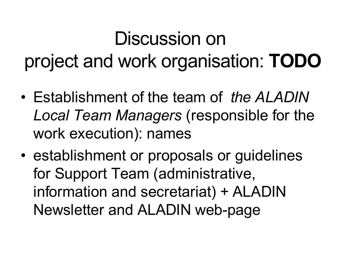### Discussion on project and work organisation: **TODO**

- Establishment of the team of *the ALADIN Local Team Managers* (responsible for the work execution): names
- establishment or proposals or guidelines for Support Team (administrative, information and secretariat) + ALADIN Newsletter and ALADIN web-page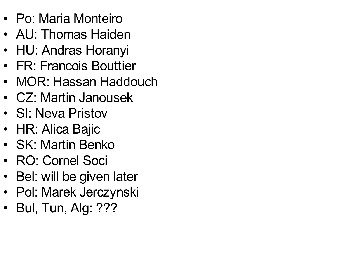- Po: Maria Monteiro
- AU: Thomas Haiden
- HU: Andras Horanyi
- FR: Francois Bouttier
- MOR: Hassan Haddouch
- CZ: Martin Janousek
- SI: Neva Pristov
- HR: Alica Bajic
- SK: Martin Benko
- RO: Cornel Soci
- Bel: will be given later
- Pol: Marek Jerczynski
- Bul, Tun, Alg: ???